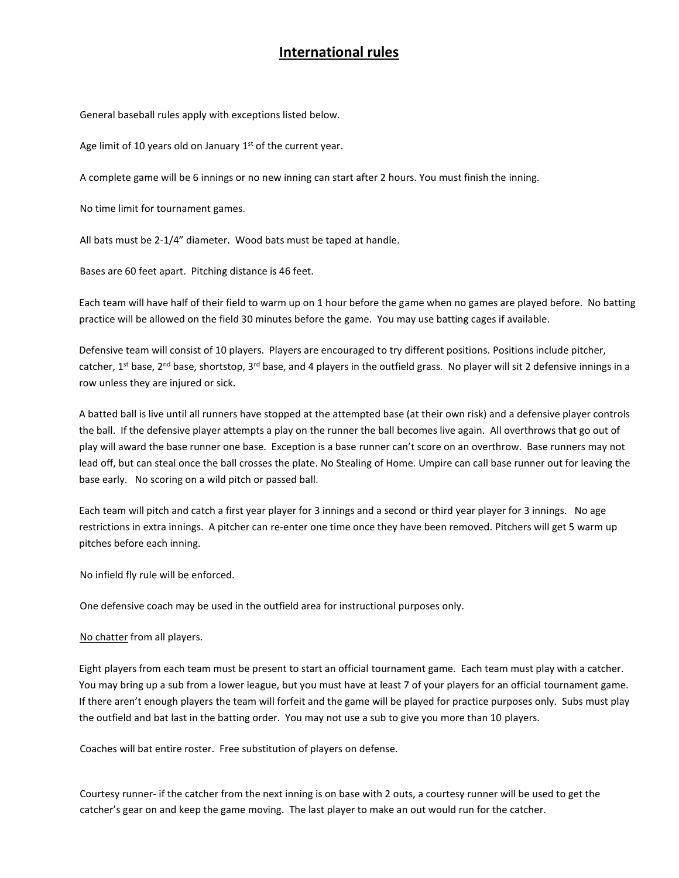## **International rules**

General baseball rules apply with exceptions listed below.

Age limit of 10 years old on January 1<sup>st</sup> of the current year.

A complete game will be 6 innings or no new inning can start after 2 hours. You must finish the inning.

No time limit for tournament games.

All bats must be 2-1/4" diameter. Wood bats must be taped at handle.

Bases are 60 feet apart. Pitching distance is 46 feet.

Each team will have half of their field to warm up on 1 hour before the game when no games are played before. No batting practice will be allowed on the field 30 minutes before the game. You may use batting cages if available.

Defensive team will consist of 10 players. Players are encouraged to try different positions. Positions include pitcher, catcher, 1<sup>st</sup> base, 2<sup>nd</sup> base, shortstop, 3<sup>rd</sup> base, and 4 players in the outfield grass. No player will sit 2 defensive innings in a row unless they are injured or sick.

 A batted ball is live until all runners have stopped at the attempted base (at their own risk) and a defensive player controls the ball. If the defensive player attempts a play on the runner the ball becomes live again. All overthrows that go out of play will award the base runner one base. Exception is a base runner can't score on an overthrow. Base runners may not lead off, but can steal once the ball crosses the plate. No Stealing of Home. Umpire can call base runner out for leaving the base early. No scoring on a wild pitch or passed ball.

Each team will pitch and catch a first year player for 3 innings and a second or third year player for 3 innings. No age restrictions in extra innings. A pitcher can re-enter one time once they have been removed. Pitchers will get 5 warm up pitches before each inning.

No infield fly rule will be enforced.

One defensive coach may be used in the outfield area for instructional purposes only.

No chatter from all players.

Eight players from each team must be present to start an official tournament game. Each team must play with a catcher. You may bring up a sub from a lower league, but you must have at least 7 of your players for an official tournament game. If there aren't enough players the team will forfeit and the game will be played for practice purposes only. Subs must play the outfield and bat last in the batting order. You may not use a sub to give you more than 10 players.

Coaches will bat entire roster. Free substitution of players on defense.

Courtesy runner- if the catcher from the next inning is on base with 2 outs, a courtesy runner will be used to get the catcher's gear on and keep the game moving. The last player to make an out would run for the catcher.